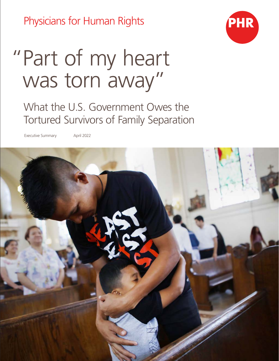Physicians for Human Rights



# "Part of my heart was torn away"

What the U.S. Government Owes the Tortured Survivors of Family Separation

Executive Summary April 2022

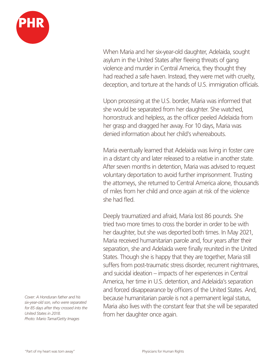

When Maria and her six-year-old daughter, Adelaida, sought asylum in the United States after fleeing threats of gang violence and murder in Central America, they thought they had reached a safe haven. Instead, they were met with cruelty, deception, and torture at the hands of U.S. immigration officials.

Upon processing at the U.S. border, Maria was informed that she would be separated from her daughter. She watched, horrorstruck and helpless, as the officer peeled Adelaida from her grasp and dragged her away. For 10 days, Maria was denied information about her child's whereabouts.

Maria eventually learned that Adelaida was living in foster care in a distant city and later released to a relative in another state. After seven months in detention, Maria was advised to request voluntary deportation to avoid further imprisonment. Trusting the attorneys, she returned to Central America alone, thousands of miles from her child and once again at risk of the violence she had fled.

Deeply traumatized and afraid, Maria lost 86 pounds. She tried two more times to cross the border in order to be with her daughter, but she was deported both times. In May 2021, Maria received humanitarian parole and, four years after their separation, she and Adelaida were finally reunited in the United States. Though she is happy that they are together, Maria still suffers from post-traumatic stress disorder, recurrent nightmares, and suicidal ideation – impacts of her experiences in Central America, her time in U.S. detention, and Adelaida's separation and forced disappearance by officers of the United States. And, because humanitarian parole is not a permanent legal status, Maria also lives with the constant fear that she will be separated from her daughter once again.

*Cover: A Honduran father and his six-year-old son, who were separated for 85 days after they crossed into the United States in 2018. Photo: Mario Tama/Getty Images*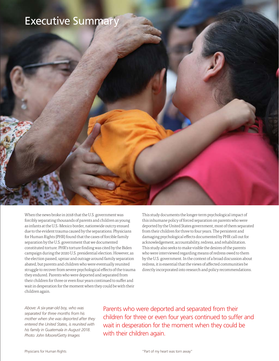### Executive Summary

When the news broke in 2018 that the U.S. government was forcibly separating thousands of parents and children as young as infants at the U.S.-Mexico border, nationwide outcry ensued due to the evident trauma caused by the separations. Physicians for Human Rights (PHR) found that the cases of forcible family separation by the U.S. government that we documented constituted torture. PHR's torture finding was cited by the Biden campaign during the 2020 U.S. presidential election. However, as the election passed, uproar and outrage around family separation abated, but parents and children who were eventually reunited struggle to recover from severe psychological effects of the trauma they endured. Parents who were deported and separated from their children for three or even four years continued to suffer and wait in desperation for the moment when they could be with their children again.

This study documents the longer-term psychological impact of this inhumane policy of forced separation on parents who were deported by the United States government, most of them separated from their children for three to four years. The persistent and damaging psychological effects documented by PHR call out for acknowledgement, accountability, redress, and rehabilitation. This study also seeks to make visible the desires of the parents who were interviewed regarding means of redress owed to them by the U.S. government. In the context of a broad discussion about redress, it is essential that the views of affected communities be directly incorporated into research and policy recommendations.

*Above: A six-year-old boy, who was separated for three months from his mother when she was deported after they entered the United States, is reunited with his family in Guatemala in August 2018. Photo: John Moore/Getty Images*

Parents who were deported and separated from their children for three or even four years continued to suffer and wait in desperation for the moment when they could be with their children again.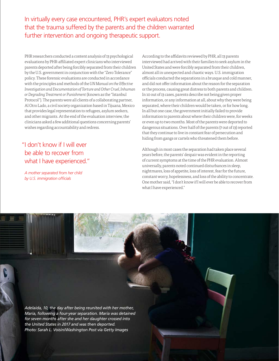In virtually every case encountered, PHR's expert evaluators noted that the trauma suffered by the parents and the children warranted further intervention and ongoing therapeutic support.

PHR researchers conducted a content analysis of 13 psychological evaluations by PHR-affiliated expert clinicians who interviewed parents deported after being forcibly separated from their children by the U.S. government in conjunction with the "Zero Tolerance" policy. These forensic evaluations are conducted in accordance with the principles and methods of the *UN Manual on the Effective Investigation and Documentation of Torture and Other Cruel, Inhuman or Degrading Treatment or Punishment* (known as the "Istanbul Protocol"). The parents were all clients of a collaborating partner, Al Otro Lado, a civil society organization based in Tijuana, Mexico that provides legal representation to refugees, asylum seekers, and other migrants. At the end of the evaluation interview, the clinicians asked a few additional questions concerning parents' wishes regarding accountability and redress.

### "I don't know if I will ever be able to recover from what I have experienced."

*A mother separated from her child by U.S. immigration officials*

According to the affidavits reviewed by PHR, all 13 parents interviewed had arrived with their families to seek asylum in the United States and were forcibly separated from their children, almost all in unexpected and chaotic ways. U.S. immigration officials conducted the separations in a brusque and cold manner, and did not offer information about the reason for the separation or the process, causing great distress to both parents and children. In 10 out of 13 cases, parents describe not being given proper information, or any information at all, about why they were being separated, where their children would be taken, or for how long. In all but one case, the government initially failed to provide information to parents about where their children were, for weeks or even up to two months. Most of the parents were deported to dangerous situations. Over half of the parents (7 out of 13) reported that they continue to live in constant fear of persecution and hiding from gangs or cartels who threatened them before.

Although in most cases the separation had taken place several years before, the parents' despair was evident in the reporting of current symptoms at the time of the PHR evaluation. Almost universally, parents noted continued disturbances in sleep, nightmares, loss of appetite, loss of interest, fear for the future, constant worry, hopelessness, and loss of the ability to concentrate. One mother said, "I don't know if I will ever be able to recover from what I have experienced."

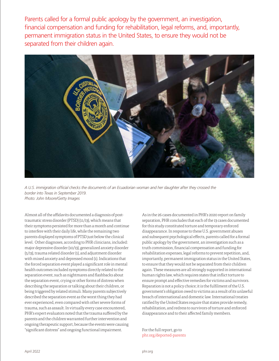Parents called for a formal public apology by the government, an investigation, financial compensation and funding for rehabilitation, legal reforms, and, importantly, permanent immigration status in the United States, to ensure they would not be separated from their children again.



*A U.S. immigration official checks the documents of an Ecuadorian woman and her daughter after they crossed the border into Texas in September 2019. Photo: John Moore/Getty Images*

Almost all of the affidavits documented a diagnosis of posttraumatic stress disorder (PTSD) (11/13), which means that their symptoms persisted for more than a month and continue to interfere with their daily life, while the remaining two parents displayed symptoms of PTSD just below the clinical level. Other diagnoses, according to PHR clinicians, included: major depressive disorder (10/13), generalized anxiety disorder (5/13), trauma related disorder (1), and adjustment disorder with mixed anxiety and depressed mood (1). Indications that the forced separation event played a significant role in mental health outcomes included symptoms directly related to the separation event, such as nightmares and flashbacks about the separation event, crying or other forms of distress when describing the separation or talking about their children, or being triggered by related stimuli. Many parents subjectively described the separation event as the worst thing they had ever experienced, even compared with other severe forms of trauma, such as assault. In virtually every case encountered, PHR's expert evaluators noted that the trauma suffered by the parents and the children warranted further intervention and ongoing therapeutic support, because the events were causing "significant distress" and ongoing functional impairment.

As in the 26 cases documented in PHR's 2020 report on family separation, PHR concludes that each of the 13 cases documented for this study constituted torture and temporary enforced disappearance. In response to these U.S. government abuses and subsequent psychological effects, parents called for a formal public apology by the government, an investigation such as a truth commission, financial compensation and funding for rehabilitation expenses, legal reforms to prevent repetition, and, importantly, permanent immigration status in the United States, to ensure that they would not be separated from their children again. These measures are all strongly supported in international human rights law, which requires states that inflict torture to ensure prompt and effective remedies for victims and survivors. Reparation is not a policy choice; it is the fulfilment of the U.S. government's obligation owed to victims as a result of its unlawful breach of international and domestic law. International treaties ratified by the United States require that states provide remedy, rehabilitation, and redress to survivors of torture and enforced disappearance and to their affected family members.

For the full report, go to phr.org/deported-parents